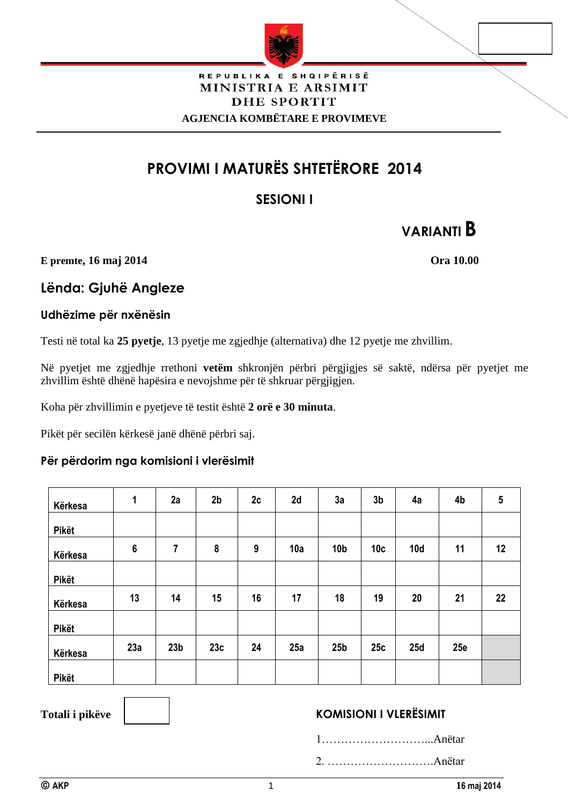

#### REPUBLIKA E SHQIPËRISË MINISTRIA E ARSIMIT **DHE SPORTIT AGJENCIA KOMBËTARE E PROVIMEVE**

# **PROVIMI I MATURËS SHTETËRORE 2014**

# **SESIONI I**

# **VARIANTI B**

**E premte, 16 maj 2014 Ora 10.00**

# **Lënda: Gjuhë Angleze**

### **Udhëzime për nxënësin**

Testi në total ka **25 pyetje**, 13 pyetje me zgjedhje (alternativa) dhe 12 pyetje me zhvillim.

Në pyetjet me zgjedhje rrethoni **vetëm** shkronjën përbri përgjigjes së saktë, ndërsa për pyetjet me zhvillim është dhënë hapësira e nevojshme për të shkruar përgjigjen.

Koha për zhvillimin e pyetjeve të testit është **2 orë e 30 minuta**.

Pikët për secilën kërkesë janë dhënë përbri saj.

## **Për përdorim nga komisioni i vlerësimit**

| Kërkesa      | 1              | 2a              | 2 <sub>b</sub> | 2c | 2d  | 3a              | 3 <sub>b</sub>  | 4a  | 4b  | ${\bf 5}$ |
|--------------|----------------|-----------------|----------------|----|-----|-----------------|-----------------|-----|-----|-----------|
| Pikët        |                |                 |                |    |     |                 |                 |     |     |           |
| Kërkesa      | $6\phantom{1}$ | 7               | 8              | 9  | 10a | 10 <sub>b</sub> | 10 <sub>c</sub> | 10d | 11  | 12        |
| Pikët        |                |                 |                |    |     |                 |                 |     |     |           |
| Kërkesa      | 13             | 14              | 15             | 16 | 17  | 18              | 19              | 20  | 21  | 22        |
| Pikët        |                |                 |                |    |     |                 |                 |     |     |           |
| Kërkesa      | 23a            | 23 <sub>b</sub> | 23c            | 24 | 25a | 25 <sub>b</sub> | 25c             | 25d | 25e |           |
| <b>Pikët</b> |                |                 |                |    |     |                 |                 |     |     |           |

# Totali i pikëve **KOMISIONI I VLERËSIMIT**

1………………………...Anëtar

2. ……………………….Anëtar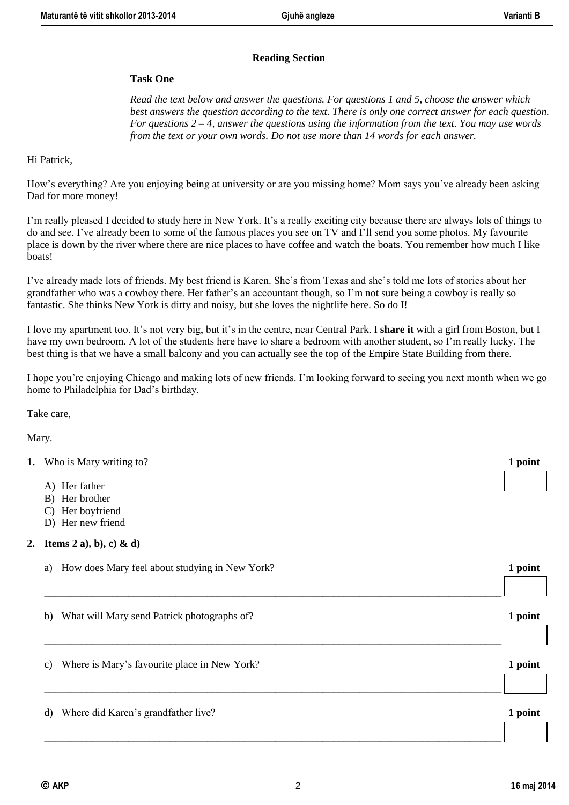#### **Reading Section**

#### **Task One**

*Read the text below and answer the questions. For questions 1 and 5, choose the answer which best answers the question according to the text. There is only one correct answer for each question. For questions 2 – 4, answer the questions using the information from the text. You may use words from the text or your own words. Do not use more than 14 words for each answer.*

#### Hi Patrick,

How's everything? Are you enjoying being at university or are you missing home? Mom says you've already been asking Dad for more money!

I'm really pleased I decided to study here in New York. It's a really exciting city because there are always lots of things to do and see. I've already been to some of the famous places you see on TV and I'll send you some photos. My favourite place is down by the river where there are nice places to have coffee and watch the boats. You remember how much I like boats!

I've already made lots of friends. My best friend is Karen. She's from Texas and she's told me lots of stories about her grandfather who was a cowboy there. Her father's an accountant though, so I'm not sure being a cowboy is really so fantastic. She thinks New York is dirty and noisy, but she loves the nightlife here. So do I!

I love my apartment too. It's not very big, but it's in the centre, near Central Park. I **share it** with a girl from Boston, but I have my own bedroom. A lot of the students here have to share a bedroom with another student, so I'm really lucky. The best thing is that we have a small balcony and you can actually see the top of the Empire State Building from there.

I hope you're enjoying Chicago and making lots of new friends. I'm looking forward to seeing you next month when we go home to Philadelphia for Dad's birthday.

Take care,

Mary.

- **1.** Who is Mary writing to? **1 1** 
	- A) Her father
	- B) Her brother
	- C) Her boyfriend
	- D) Her new friend

#### **2. Items 2 a), b), c) & d)**

| How does Mary feel about studying in New York?<br>a) | 1 point |
|------------------------------------------------------|---------|
|                                                      |         |
| What will Mary send Patrick photographs of?<br>b)    | 1 point |
| Where is Mary's favourite place in New York?<br>c)   | 1 point |
|                                                      |         |
| Where did Karen's grandfather live?<br>d)            | 1 point |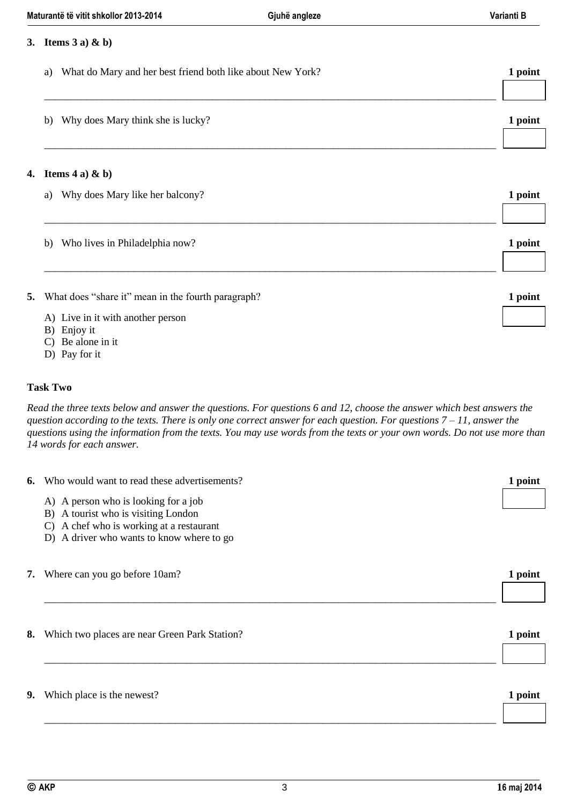|    | 3. Items $3$ a) & b)                                             |         |
|----|------------------------------------------------------------------|---------|
|    | What do Mary and her best friend both like about New York?<br>a) | 1 point |
|    | Why does Mary think she is lucky?<br>b)                          | 1 point |
| 4. | Items $4a)$ & b)                                                 |         |
|    | Why does Mary like her balcony?<br>a)                            | 1 point |
|    | Who lives in Philadelphia now?<br>b)                             | 1 point |
| 5. | What does "share it" mean in the fourth paragraph?               | 1 point |
|    | A) Live in it with another person<br>B) Enjoy it                 |         |
|    | Be alone in it<br>D) Pay for it                                  |         |

#### **Task Two**

*Read the three texts below and answer the questions. For questions 6 and 12, choose the answer which best answers the question according to the texts. There is only one correct answer for each question. For questions 7 – 11, answer the questions using the information from the texts. You may use words from the texts or your own words. Do not use more than 14 words for each answer.*

| 6. | Who would want to read these advertisements?                                                                                                                                       | 1 point |
|----|------------------------------------------------------------------------------------------------------------------------------------------------------------------------------------|---------|
|    | A) A person who is looking for a job<br>B) A tourist who is visiting London<br>A chef who is working at a restaurant<br>$\mathcal{C}$<br>D) A driver who wants to know where to go |         |
| 7. | Where can you go before 10am?                                                                                                                                                      | 1 point |
| 8. | Which two places are near Green Park Station?                                                                                                                                      | 1 point |
| 9. | Which place is the newest?                                                                                                                                                         | 1 point |
|    |                                                                                                                                                                                    |         |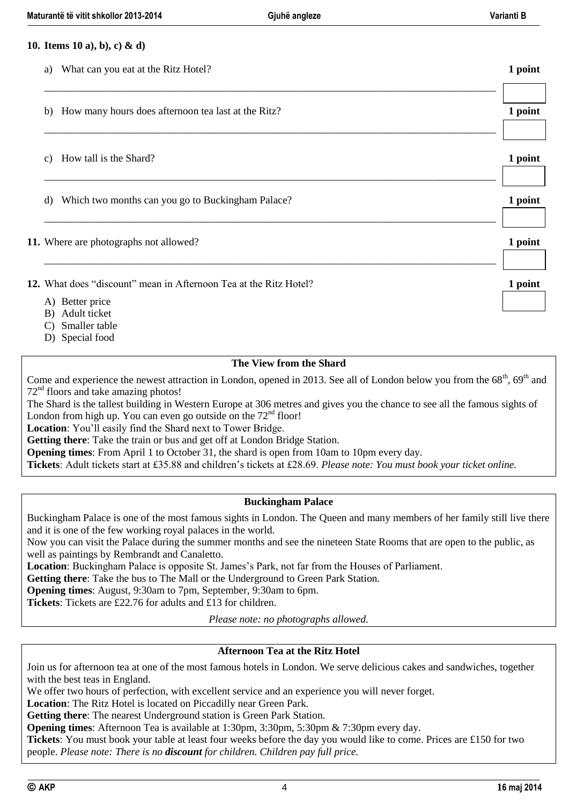|                 | 10. Items 10 a), b), c) & d)                                      |         |
|-----------------|-------------------------------------------------------------------|---------|
| a)              | What can you eat at the Ritz Hotel?                               | 1 point |
| b)              | How many hours does afternoon tea last at the Ritz?               | 1 point |
| $\mathcal{C}$ ) | How tall is the Shard?                                            | 1 point |
| d)              | Which two months can you go to Buckingham Palace?                 | 1 point |
|                 | 11. Where are photographs not allowed?                            | 1 point |
|                 | 12. What does "discount" mean in Afternoon Tea at the Ritz Hotel? | 1 point |
|                 | A) Better price<br>B) Adult ticket                                |         |

- C) Smaller table
- D) Special food

#### **The View from the Shard**

Come and experience the newest attraction in London, opened in 2013. See all of London below you from the  $68<sup>th</sup>$ ,  $69<sup>th</sup>$  and 72nd floors and take amazing photos!

The Shard is the tallest building in Western Europe at 306 metres and gives you the chance to see all the famous sights of London from high up. You can even go outside on the  $72<sup>nd</sup>$  floor!

**Location**: You'll easily find the Shard next to Tower Bridge.

**Getting there**: Take the train or bus and get off at London Bridge Station.

**Opening times**: From April 1 to October 31, the shard is open from 10am to 10pm every day.

**Tickets**: Adult tickets start at £35.88 and children's tickets at £28.69. *Please note: You must book your ticket online.*

#### **Buckingham Palace**

Buckingham Palace is one of the most famous sights in London. The Queen and many members of her family still live there and it is one of the few working royal palaces in the world.

Now you can visit the Palace during the summer months and see the nineteen State Rooms that are open to the public, as well as paintings by Rembrandt and Canaletto.

**Location**: Buckingham Palace is opposite St. James's Park, not far from the Houses of Parliament.

**Getting there**: Take the bus to The Mall or the Underground to Green Park Station.

**Opening times**: August, 9:30am to 7pm, September, 9:30am to 6pm.

**Tickets**: Tickets are £22.76 for adults and £13 for children.

*Please note: no photographs allowed.*

#### **Afternoon Tea at the Ritz Hotel**

Join us for afternoon tea at one of the most famous hotels in London. We serve delicious cakes and sandwiches, together with the best teas in England.

We offer two hours of perfection, with excellent service and an experience you will never forget.

**Location**: The Ritz Hotel is located on Piccadilly near Green Park.

**Getting there**: The nearest Underground station is Green Park Station.

**Opening times**: Afternoon Tea is available at 1:30pm, 3:30pm, 5:30pm & 7:30pm every day.

**Tickets**: You must book your table at least four weeks before the day you would like to come. Prices are £150 for two people. *Please note: There is no discount for children. Children pay full price.*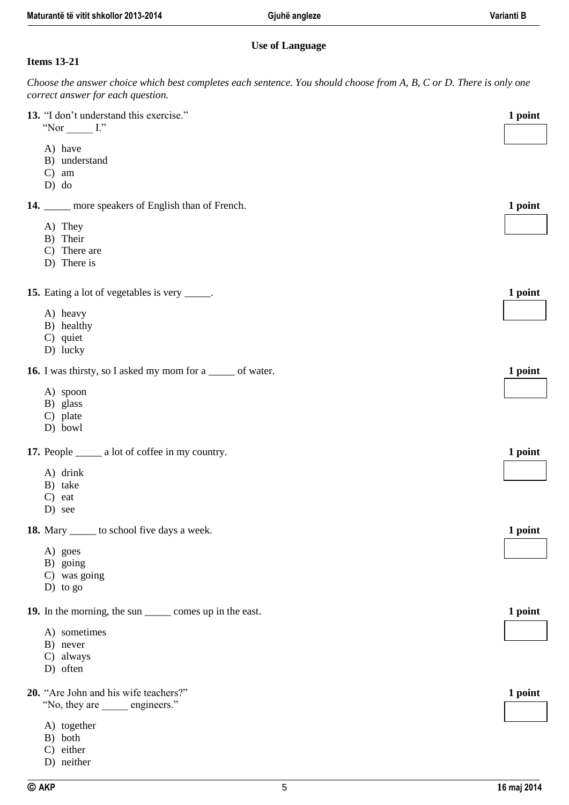#### **Use of Language**

#### **Items 13-21**

*Choose the answer choice which best completes each sentence. You should choose from A, B, C or D. There is only one correct answer for each question.*

| 13. "I don't understand this exercise."<br>"Nor $\_\_\_\_\$ I."    | 1 point |
|--------------------------------------------------------------------|---------|
| A) have<br>B) understand<br>$C)$ am<br>$D)$ do                     |         |
| 14. _____ more speakers of English than of French.                 | 1 point |
| A) They<br>B) Their<br>C) There are<br>D) There is                 |         |
| <b>15.</b> Eating a lot of vegetables is very ______.              | 1 point |
| A) heavy<br>B) healthy<br>C) quiet<br>D) lucky                     |         |
| <b>16.</b> I was thirsty, so I asked my mom for a ______ of water. | 1 point |
| A) spoon<br>B) glass<br>C) plate<br>D) bowl                        |         |
| 17. People _______ a lot of coffee in my country.                  | 1 point |
| A) drink<br>B) take<br>$C$ ) eat<br>D) see                         |         |
| <b>18.</b> Mary _______ to school five days a week.                | 1 point |
| A) goes<br>B) going<br>C) was going<br>$D)$ to go                  |         |
| 19. In the morning, the sun ________ comes up in the east.         | 1 point |
| A) sometimes<br>B) never<br>C) always<br>D) often                  |         |
| 20. "Are John and his wife teachers?"<br>"No, they are engineers." | 1 point |
| A) together<br>B) both<br>C) either<br>D) neither                  |         |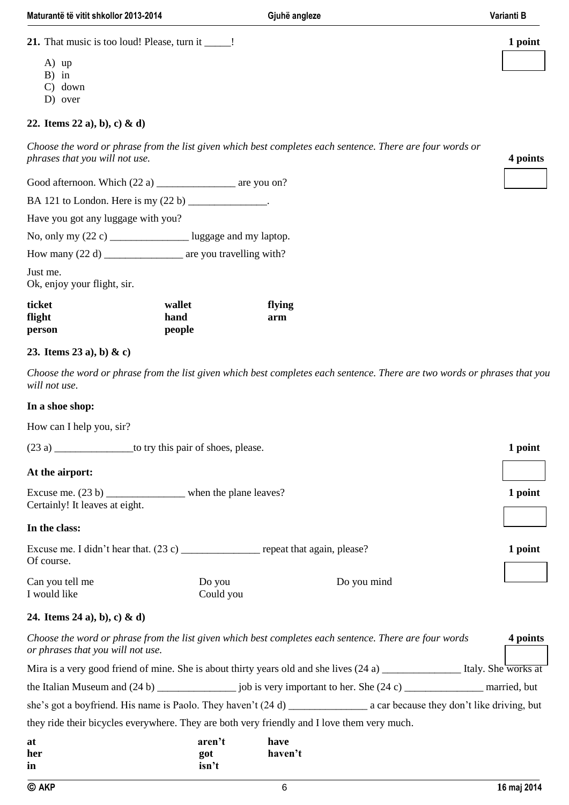**21.** That music is too loud! Please, turn it \_\_\_\_\_! **1 point**

- A) up
- B) in
- C) down
- D) over

#### **22. Items 22 a), b), c) & d)**

*Choose the word or phrase from the list given which best completes each sentence. There are four words or phrases that you will not use.* **4 points**

Good afternoon. Which  $(22 a)$  \_\_\_\_\_\_\_\_\_\_\_\_\_\_\_\_ are you on?

BA 121 to London. Here is my (22 b) \_\_\_\_\_\_\_\_\_\_\_\_\_\_\_.

Have you got any luggage with you?

No, only my  $(22 c)$  \_\_\_\_\_\_\_\_\_\_\_\_\_\_\_\_\_\_\_\_ luggage and my laptop.

How many (22 d) \_\_\_\_\_\_\_\_\_\_\_\_\_\_\_\_ are you travelling with?

Just me. Ok, enjoy your flight, sir.

| ticket | wallet | flying |
|--------|--------|--------|
| flight | hand   | arm    |
| person | people |        |

#### **23. Items 23 a), b) & c)**

*Choose the word or phrase from the list given which best completes each sentence. There are two words or phrases that you will not use.*

#### **In a shoe shop:**

How can I help you, sir?

| to try this pair of shoes, please.                                                                 |                     |                            |         |  |
|----------------------------------------------------------------------------------------------------|---------------------|----------------------------|---------|--|
| At the airport:                                                                                    |                     |                            |         |  |
| Excuse me. $(23 b)$ _____________________ when the plane leaves?<br>Certainly! It leaves at eight. |                     |                            | 1 point |  |
| In the class:                                                                                      |                     |                            |         |  |
| Of course.                                                                                         |                     | repeat that again, please? | 1 point |  |
| Can you tell me<br>I would like                                                                    | Do you<br>Could you | Do you mind                |         |  |

#### **24. Items 24 a), b), c) & d)**

| Choose the word or phrase from the list given which best completes each sentence. There are four words<br>or phrases that you will not use. |      |                                            | 4 points            |
|---------------------------------------------------------------------------------------------------------------------------------------------|------|--------------------------------------------|---------------------|
| Mira is a very good friend of mine. She is about thirty years old and she lives (24 a)                                                      |      |                                            | Italy. She works at |
| the Italian Museum and $(24 b)$ job is very important to her. She $(24 c)$                                                                  |      |                                            | married, but        |
|                                                                                                                                             |      | a car because they don't like driving, but |                     |
| they ride their bicycles everywhere. They are both very friendly and I love them very much.                                                 |      |                                            |                     |
| at<br>aren't                                                                                                                                | have |                                            |                     |

| at  | aren't | have    |
|-----|--------|---------|
| her | got    | haven't |
| in  | isn't  |         |
|     |        |         |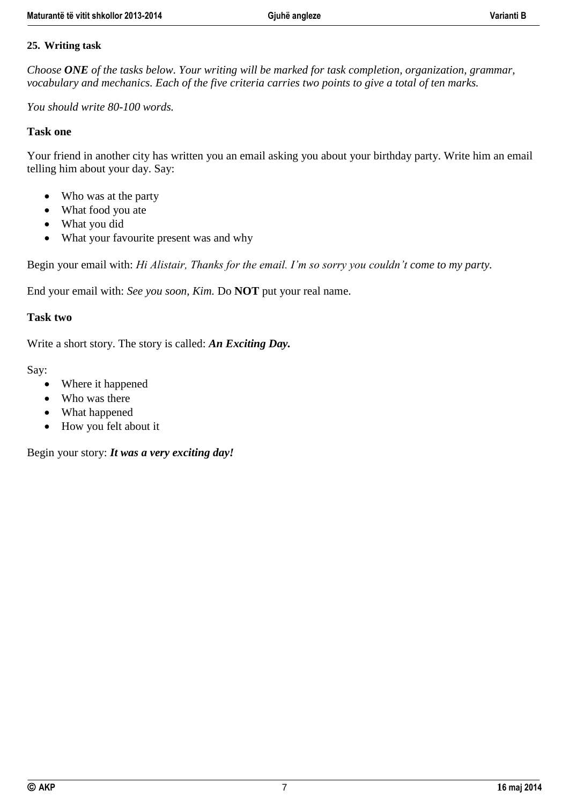# **25. Writing task**

*Choose ONE of the tasks below. Your writing will be marked for task completion, organization, grammar, vocabulary and mechanics. Each of the five criteria carries two points to give a total of ten marks.*

*You should write 80-100 words.*

# **Task one**

Your friend in another city has written you an email asking you about your birthday party. Write him an email telling him about your day. Say:

- Who was at the party
- What food you ate
- What you did
- What your favourite present was and why

Begin your email with: *Hi Alistair, Thanks for the email. I'm so sorry you couldn't come to my party.* 

End your email with: *See you soon, Kim.* Do **NOT** put your real name.

### **Task two**

Write a short story. The story is called: *An Exciting Day.* 

Say:

- Where it happened
- Who was there
- What happened
- How you felt about it

Begin your story: *It was a very exciting day!*